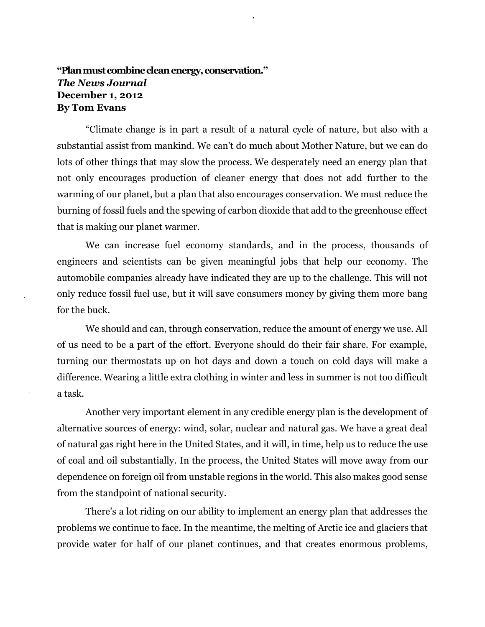## **"Plan must combine clean energy, conservation."** *The News Journal* **December 1, 2012 By Tom Evans**

 $\hat{I}$ 

"Climate change is in part a result of a natural cycle of nature, but also with a substantial assist from mankind. We can't do much about Mother Nature, but we can do lots of other things that may slow the process. We desperately need an energy plan that not only encourages production of cleaner energy that does not add further to the warming of our planet, but a plan that also encourages conservation. We must reduce the burning of fossil fuels and the spewing of carbon dioxide that add to the greenhouse effect that is making our planet warmer.

We can increase fuel economy standards, and in the process, thousands of engineers and scientists can be given meaningful jobs that help our economy. The automobile companies already have indicated they are up to the challenge. This will not only reduce fossil fuel use, but it will save consumers money by giving them more bang for the buck.

We should and can, through conservation, reduce the amount of energy we use. All of us need to be a part of the effort. Everyone should do their fair share. For example, turning our thermostats up on hot days and down a touch on cold days will make a difference. Wearing a little extra clothing in winter and less in summer is not too difficult a task.

Another very important element in any credible energy plan is the development of alternative sources of energy: wind, solar, nuclear and natural gas. We have a great deal of natural gas right here in the United States, and it will, in time, help us to reduce the use of coal and oil substantially. In the process, the United States will move away from our dependence on foreign oil from unstable regions in the world. This also makes good sense from the standpoint of national security.

There's a lot riding on our ability to implement an energy plan that addresses the problems we continue to face. In the meantime, the melting of Arctic ice and glaciers that provide water for half of our planet continues, and that creates enormous problems,